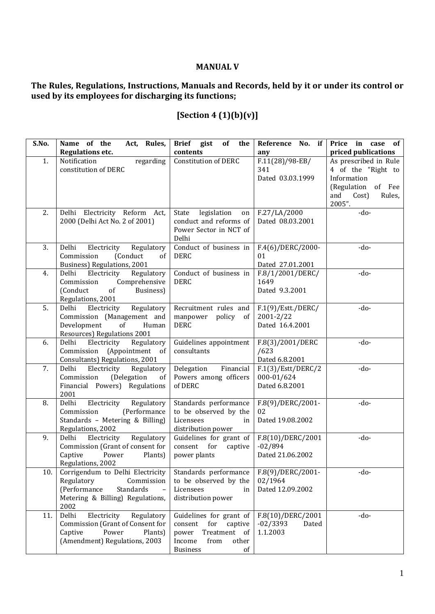## **MANUAL V**

## **The Rules, Regulations, Instructions, Manuals and Records, held by it or under its control or used by its employees for discharging its functions;**

## **[Section 4 (1)(b)(v)]**

| S.No. | Name of the<br>Act, Rules,<br><b>Regulations etc.</b>            | Brief gist<br>of<br>the<br>contents                  | Reference No. if<br>any          | Price in case of<br>priced publications |
|-------|------------------------------------------------------------------|------------------------------------------------------|----------------------------------|-----------------------------------------|
| 1.    | Notification<br>regarding                                        | <b>Constitution of DERC</b>                          | $F.11(28)/98-EB/$                | As prescribed in Rule                   |
|       | constitution of DERC                                             |                                                      | 341<br>Dated 03.03.1999          | 4 of the "Right to<br>Information       |
|       |                                                                  |                                                      |                                  | (Regulation<br>of Fee                   |
|       |                                                                  |                                                      |                                  | and<br>Cost)<br>Rules,                  |
|       |                                                                  |                                                      |                                  | 2005".                                  |
| 2.    | Delhi Electricity Reform Act,<br>2000 (Delhi Act No. 2 of 2001)  | legislation<br>State<br>on<br>conduct and reforms of | F.27/LA/2000<br>Dated 08.03.2001 | $-do-$                                  |
|       |                                                                  | Power Sector in NCT of                               |                                  |                                         |
|       |                                                                  | Delhi                                                |                                  |                                         |
| 3.    | Electricity<br>Regulatory<br>Delhi                               | Conduct of business in                               | $F.4(6)/DERC/2000-$              | -do-                                    |
|       | Commission<br>(Conduct<br>of<br>Business) Regulations, 2001      | <b>DERC</b>                                          | 01<br>Dated 27.01.2001           |                                         |
| 4.    | Regulatory<br>Delhi<br>Electricity                               | Conduct of business in                               | F.8/1/2001/DERC/                 | -do-                                    |
|       | Commission<br>Comprehensive                                      | <b>DERC</b>                                          | 1649                             |                                         |
|       | (Conduct<br>Business)<br>of                                      |                                                      | Dated 9.3.2001                   |                                         |
| 5.    | Regulations, 2001<br>Electricity<br>Delhi<br>Regulatory          | Recruitment rules and                                | F.1(9)/Estt./DERC/               | -do-                                    |
|       | Commission (Management and                                       | manpower<br>policy<br>of                             | 2001-2/22                        |                                         |
|       | Development<br>of<br>Human                                       | <b>DERC</b>                                          | Dated 16.4.2001                  |                                         |
|       | Resources) Regulations 2001                                      |                                                      |                                  |                                         |
| 6.    | Delhi<br>Electricity<br>Regulatory<br>Commission (Appointment of | Guidelines appointment<br>consultants                | F.8(3)/2001/DERC<br>/623         | -do-                                    |
|       | Consultants) Regulations, 2001                                   |                                                      | Dated 6.8.2001                   |                                         |
| 7.    | Regulatory<br>Delhi<br>Electricity                               | Delegation<br>Financial                              | F.1(3)/Est/DERC/2                | -do-                                    |
|       | (Delegation<br>Commission<br>of                                  | Powers among officers                                | 000-01/624                       |                                         |
|       | Financial Powers) Regulations<br>2001                            | of DERC                                              | Dated 6.8.2001                   |                                         |
| 8.    | Delhi<br>Electricity<br>Regulatory                               | Standards performance                                | F.8(9)/DERC/2001-                | -do-                                    |
|       | (Performance<br>Commission                                       | to be observed by the                                | 02                               |                                         |
|       | Standards - Metering & Billing)<br>Regulations, 2002             | Licensees<br>in<br>distribution power                | Dated 19.08.2002                 |                                         |
| 9.    | Electricity<br>Delhi<br>Regulatory                               | Guidelines for grant of                              | F.8(10)/DERC/2001                | -do-                                    |
|       | Commission (Grant of consent for                                 | consent for<br>captive                               | $-02/894$                        |                                         |
|       | Power<br>Plants)<br>Captive                                      | power plants                                         | Dated 21.06.2002                 |                                         |
| 10.   | Regulations, 2002<br>Corrigendum to Delhi Electricity            | Standards performance                                | F.8(9)/DERC/2001-                | -do-                                    |
|       | Regulatory<br>Commission                                         | to be observed by the                                | 02/1964                          |                                         |
|       | (Performance<br>Standards                                        | Licensees<br>in                                      | Dated 12.09.2002                 |                                         |
|       | Metering & Billing) Regulations,<br>2002                         | distribution power                                   |                                  |                                         |
| 11.   | Delhi<br>Electricity<br>Regulatory                               | Guidelines for grant of                              | F.8(10)/DERC/2001                | -do-                                    |
|       | Commission (Grant of Consent for                                 | consent<br>for<br>captive                            | $-02/3393$<br>Dated              |                                         |
|       | Captive<br>Power<br>Plants)<br>(Amendment) Regulations, 2003     | Treatment of<br>power                                | 1.1.2003                         |                                         |
|       |                                                                  | from<br>Income<br>other<br><b>Business</b><br>of     |                                  |                                         |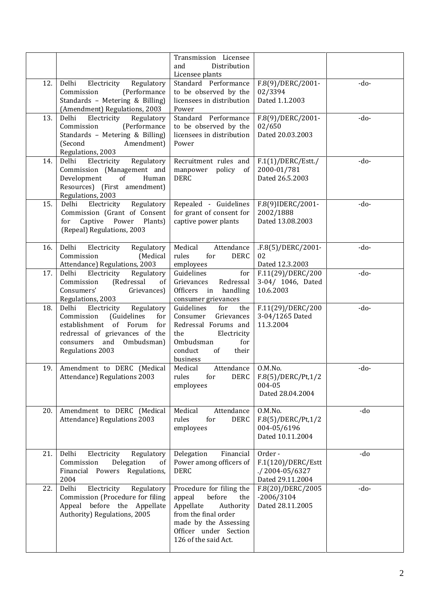|     |                                                                                                                                                                                                 | Transmission Licensee<br>and<br>Distribution<br>Licensee plants                                                                                                                 |                                                                    |        |
|-----|-------------------------------------------------------------------------------------------------------------------------------------------------------------------------------------------------|---------------------------------------------------------------------------------------------------------------------------------------------------------------------------------|--------------------------------------------------------------------|--------|
| 12. | Electricity<br>Regulatory<br>Delhi<br>Commission<br>(Performance<br>Standards - Metering & Billing)<br>(Amendment) Regulations, 2003                                                            | Standard Performance<br>to be observed by the<br>licensees in distribution<br>Power                                                                                             | F.8(9)/DERC/2001-<br>02/3394<br>Dated 1.1.2003                     | $-do-$ |
| 13. | Delhi<br>Electricity<br>Regulatory<br>Commission<br>(Performance<br>Standards - Metering & Billing)<br>(Second<br>Amendment)<br>Regulations, 2003                                               | Standard Performance<br>to be observed by the<br>licensees in distribution<br>Power                                                                                             | F.8(9)/DERC/2001-<br>02/650<br>Dated 20.03.2003                    | $-do-$ |
| 14. | Electricity<br>Delhi<br>Regulatory<br>Commission (Management and<br>Development<br>of<br>Human<br>Resources) (First amendment)<br>Regulations, 2003                                             | Recruitment rules and<br>manpower<br>policy<br><sub>of</sub><br><b>DERC</b>                                                                                                     | F.1(1)/DERC/Estt./<br>2000-01/781<br>Dated 26.5.2003               | -do-   |
| 15. | Delhi<br>Electricity<br>Regulatory<br>Commission (Grant of Consent<br>for Captive Power Plants)<br>(Repeal) Regulations, 2003                                                                   | Repealed - Guidelines<br>for grant of consent for<br>captive power plants                                                                                                       | F.8(9)IDERC/2001-<br>2002/1888<br>Dated 13.08.2003                 | -do-   |
| 16. | Delhi<br>Electricity<br>Regulatory<br>Commission<br>(Medical<br>Attendance) Regulations, 2003                                                                                                   | Medical<br>Attendance<br>rules<br>for<br><b>DERC</b><br>employees                                                                                                               | .F.8(5)/DERC/2001-<br>02<br>Dated 12.3.2003                        | -do-   |
| 17. | Delhi<br>Electricity<br>Regulatory<br>(Redressal<br>Commission<br>of<br>Consumers'<br>Grievances)<br>Regulations, 2003                                                                          | Guidelines<br>for<br>Grievances<br>Redressal<br>Officers in handling<br>consumer grievances                                                                                     | F.11(29)/DERC/200<br>3-04/ 1046, Dated<br>10.6.2003                | -do-   |
| 18. | Electricity<br>Delhi<br>Regulatory<br>Commission<br>(Guidelines<br>for<br>establishment of Forum<br>for<br>redressal of grievances of the<br>consumers<br>and<br>Ombudsman)<br>Regulations 2003 | Guidelines<br>for<br>the<br>Grievances<br>Consumer<br>Redressal Forums and<br>the<br>Electricity<br>Ombudsman<br>for<br>conduct<br>their<br>of<br>business                      | F.11(29)/DERC/200<br>3-04/1265 Dated<br>11.3.2004                  | -do-   |
| 19. | Amendment to DERC (Medical<br>Attendance) Regulations 2003                                                                                                                                      | Medical<br>Attendance<br><b>DERC</b><br>rules<br>for<br>employees                                                                                                               | O.M.No.<br>F.8(5)/DERC/Pt, 1/2<br>004-05<br>Dated 28.04.2004       | -do-   |
| 20. | Amendment to DERC (Medical<br>Attendance) Regulations 2003                                                                                                                                      | Medical<br>Attendance<br>rules<br>for<br><b>DERC</b><br>employees                                                                                                               | O.M.No.<br>F.8(5)/DERC/Pt,1/2<br>004-05/6196<br>Dated 10.11.2004   | -do    |
| 21. | Delhi<br>Electricity<br>Regulatory<br>Commission<br>Delegation<br><sub>of</sub><br>Financial Powers Regulations,<br>2004                                                                        | Delegation<br>Financial<br>Power among officers of<br><b>DERC</b>                                                                                                               | Order-<br>F.1(120)/DERC/Estt<br>./2004-05/6327<br>Dated 29.11.2004 | -do    |
| 22. | Delhi<br>Electricity<br>Regulatory<br>Commission (Procedure for filing<br>Appeal before the Appellate<br>Authority) Regulations, 2005                                                           | Procedure for filing the<br>before<br>appeal<br>the<br>Appellate<br>Authority<br>from the final order<br>made by the Assessing<br>Officer under Section<br>126 of the said Act. | F.8(20)/DERC/2005<br>$-2006/3104$<br>Dated 28.11.2005              | $-do-$ |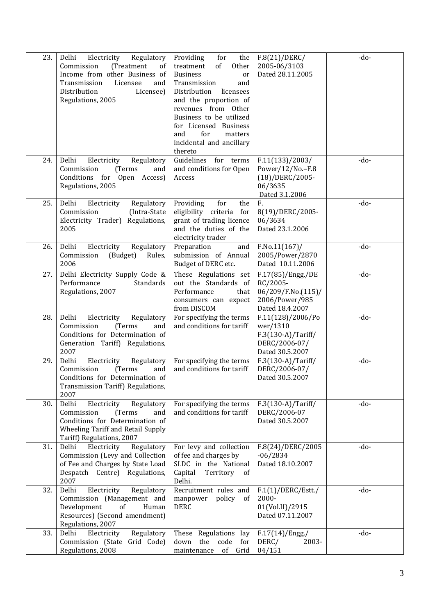| 23. | Regulatory<br>Electricity<br>Delhi<br>Commission<br>(Treatment<br>of<br>Income from other Business of<br>Transmission<br>Licensee<br>and<br>Distribution<br>Licensee)<br>Regulations, 2005 | Providing<br>for<br>the<br>of<br>treatment<br>Other<br><b>Business</b><br>or<br>Transmission<br>and<br>Distribution<br>licensees<br>and the proportion of<br>revenues from Other<br>Business to be utilized<br>for Licensed Business<br>for<br>and<br>matters<br>incidental and ancillary<br>thereto | F.8(21)/DERC/<br>2005-06/3103<br>Dated 28.11.2005                                          | $-do-$ |
|-----|--------------------------------------------------------------------------------------------------------------------------------------------------------------------------------------------|------------------------------------------------------------------------------------------------------------------------------------------------------------------------------------------------------------------------------------------------------------------------------------------------------|--------------------------------------------------------------------------------------------|--------|
| 24. | Delhi<br>Electricity<br>Regulatory<br>Commission<br>(Terms)<br>and<br>Conditions for Open Access)<br>Regulations, 2005                                                                     | Guidelines<br>for terms<br>and conditions for Open<br>Access                                                                                                                                                                                                                                         | F.11(133)/2003/<br>Power/12/No.-F.8<br>(18)/DERC/2005-<br>06/3635<br>Dated 3.1.2006        | $-do-$ |
| 25. | Regulatory<br>Delhi<br>Electricity<br>Commission<br>(Intra-State<br>Electricity Trader) Regulations,<br>2005                                                                               | Providing<br>for<br>the<br>eligibility criteria for<br>grant of trading licence<br>and the duties of the<br>electricity trader                                                                                                                                                                       | F.<br>8(19)/DERC/2005-<br>06/3634<br>Dated 23.1.2006                                       | $-do-$ |
| 26. | Delhi<br>Electricity<br>Regulatory<br>Commission<br>(Budget)<br>Rules,<br>2006                                                                                                             | Preparation<br>and<br>submission of Annual<br>Budget of DERC etc.                                                                                                                                                                                                                                    | $F.No.11(167)$ /<br>2005/Power/2870<br>Dated 10.11.2006                                    | -do-   |
| 27. | Delhi Electricity Supply Code &<br>Performance<br>Standards<br>Regulations, 2007                                                                                                           | These Regulations set<br>out the Standards of<br>Performance<br>that<br>consumers can expect<br>from DISCOM                                                                                                                                                                                          | F.17(85)/Engg./DE<br>RC/2005-<br>06/209/F.No.(115)/<br>2006/Power/985<br>Dated 18.4.2007   | $-do-$ |
| 28. | Delhi<br>Electricity<br>Regulatory<br>Commission<br>(Terms<br>and<br>Conditions for Determination of<br>Generation Tariff) Regulations,<br>2007                                            | For specifying the terms<br>and conditions for tariff                                                                                                                                                                                                                                                | F.11(128)/2006/Po<br>wer/1310<br>$F.3(130-A)/T$ ariff/<br>DERC/2006-07/<br>Dated 30.5.2007 | $-do-$ |
| 29. | Delhi<br>Electricity<br>Regulatory<br>(Terms)<br>Commission<br>and<br>Conditions for Determination of<br>Transmission Tariff) Regulations,<br>2007                                         | For specifying the terms<br>and conditions for tariff                                                                                                                                                                                                                                                | $F.3(130-A)/T$ ariff/<br>DERC/2006-07/<br>Dated 30.5.2007                                  | $-do-$ |
| 30. | Delhi<br>Regulatory<br>Electricity<br>Commission<br>(Terms)<br>and<br>Conditions for Determination of<br>Wheeling Tariff and Retail Supply<br>Tariff) Regulations, 2007                    | For specifying the terms<br>and conditions for tariff                                                                                                                                                                                                                                                | $F.3(130-A)/T$ ariff/<br>DERC/2006-07<br>Dated 30.5.2007                                   | -do-   |
| 31. | Delhi<br>Electricity<br>Regulatory<br>Commission (Levy and Collection<br>of Fee and Charges by State Load<br>Despatch Centre) Regulations,<br>2007                                         | For levy and collection<br>of fee and charges by<br>SLDC in the National<br>Capital<br>Territory<br>of<br>Delhi.                                                                                                                                                                                     | F.8(24)/DERC/2005<br>$-06/2834$<br>Dated 18.10.2007                                        | $-do-$ |
| 32. | Delhi<br>Electricity<br>Regulatory<br>Commission (Management and<br>Development<br>Human<br>of<br>Resources) (Second amendment)<br>Regulations, 2007                                       | Recruitment rules and<br>policy<br>manpower<br>of<br><b>DERC</b>                                                                                                                                                                                                                                     | $F.1(1)/DERC/Estt$ ./<br>2000-<br>01(Vol.II)/2915<br>Dated 07.11.2007                      | $-do-$ |
| 33. | Delhi<br>Regulatory<br>Electricity<br>Commission (State<br>Grid Code)<br>Regulations, 2008                                                                                                 | These Regulations<br>lay<br>the<br>code<br>down<br>for<br>maintenance<br>of<br>Grid                                                                                                                                                                                                                  | $F.17(14)/Engg$ .<br>DERC/<br>2003-<br>04/151                                              | $-do-$ |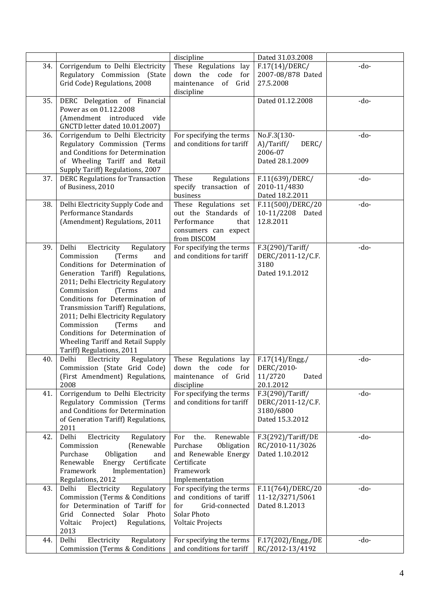|     |                                                                             | discipline                          | Dated 31.03.2008                   |        |
|-----|-----------------------------------------------------------------------------|-------------------------------------|------------------------------------|--------|
| 34. | Corrigendum to Delhi Electricity                                            | These Regulations lay               | F.17(14)/DERC/                     | -do-   |
|     | Regulatory Commission (State                                                | down the code<br>for                | 2007-08/878 Dated                  |        |
|     | Grid Code) Regulations, 2008                                                | maintenance<br>of Grid              | 27.5.2008                          |        |
|     |                                                                             | discipline                          |                                    |        |
| 35. | DERC Delegation of Financial                                                |                                     | Dated 01.12.2008                   | $-do-$ |
|     | Power as on 01.12.2008                                                      |                                     |                                    |        |
|     | (Amendment introduced<br>vide                                               |                                     |                                    |        |
|     | GNCTD letter dated 10.01.2007)                                              |                                     |                                    |        |
| 36. | Corrigendum to Delhi Electricity                                            | For specifying the terms            | No.F.3(130-                        | -do-   |
|     | Regulatory Commission (Terms                                                | and conditions for tariff           | A)/Tariff/<br>DERC/                |        |
|     | and Conditions for Determination                                            |                                     | 2006-07                            |        |
|     | of Wheeling Tariff and Retail                                               |                                     | Dated 28.1.2009                    |        |
| 37. | Supply Tariff) Regulations, 2007<br><b>DERC Regulations for Transaction</b> | These<br>Regulations                | F.11(639)/DERC/                    | $-do-$ |
|     | of Business, 2010                                                           | specify transaction of              | 2010-11/4830                       |        |
|     |                                                                             | business                            | Dated 18.2.2011                    |        |
| 38. | Delhi Electricity Supply Code and                                           | These Regulations set               | F.11(500)/DERC/20                  | $-do-$ |
|     | Performance Standards                                                       | out the Standards of                | 10-11/2208 Dated                   |        |
|     | (Amendment) Regulations, 2011                                               | Performance<br>that                 | 12.8.2011                          |        |
|     |                                                                             | consumers can expect                |                                    |        |
|     |                                                                             | from DISCOM                         |                                    |        |
| 39. | Delhi<br>Electricity<br>Regulatory                                          | For specifying the terms            | F.3(290)/Tariff/                   | $-do-$ |
|     | Commission<br>(Terms<br>and                                                 | and conditions for tariff           | DERC/2011-12/C.F.                  |        |
|     | Conditions for Determination of                                             |                                     | 3180                               |        |
|     | Generation Tariff) Regulations,                                             |                                     | Dated 19.1.2012                    |        |
|     | 2011; Delhi Electricity Regulatory                                          |                                     |                                    |        |
|     | Commission<br>(Terms<br>and                                                 |                                     |                                    |        |
|     | Conditions for Determination of                                             |                                     |                                    |        |
|     | Transmission Tariff) Regulations,                                           |                                     |                                    |        |
|     | 2011; Delhi Electricity Regulatory                                          |                                     |                                    |        |
|     | Commission<br>(Terms<br>and                                                 |                                     |                                    |        |
|     | Conditions for Determination of                                             |                                     |                                    |        |
|     | Wheeling Tariff and Retail Supply                                           |                                     |                                    |        |
|     | Tariff) Regulations, 2011                                                   |                                     |                                    |        |
| 40. | Delhi<br>Electricity<br>Regulatory                                          | These Regulations lay               | F.17(14)/Engg. /                   | -do-   |
|     | Commission (State Grid Code)                                                | the code<br>down<br>for             | DERC/2010-                         |        |
|     | (First Amendment) Regulations,                                              | maintenance of Grid                 | 11/2720<br>Dated                   |        |
|     | 2008                                                                        | discipline                          | 20.1.2012                          |        |
| 41. | Corrigendum to Delhi Electricity                                            | For specifying the terms            | F.3(290)/Tariff/                   | -do-   |
|     | Regulatory Commission (Terms                                                | and conditions for tariff           | DERC/2011-12/C.F.                  |        |
|     | and Conditions for Determination                                            |                                     | 3180/6800                          |        |
|     | of Generation Tariff) Regulations,                                          |                                     | Dated 15.3.2012                    |        |
|     | 2011                                                                        |                                     |                                    |        |
| 42. | Delhi<br>Electricity<br>Regulatory                                          | Renewable<br>For<br>the.            | F.3(292)/Tariff/DE                 | $-do-$ |
|     | Commission<br>(Renewable<br>Obligation                                      | Purchase<br>Obligation              | RC/2010-11/3026<br>Dated 1.10.2012 |        |
|     | Purchase<br>and<br>Renewable                                                | and Renewable Energy<br>Certificate |                                    |        |
|     | Energy Certificate<br>Framework<br>Implementation)                          | Framework                           |                                    |        |
|     | Regulations, 2012                                                           | Implementation                      |                                    |        |
| 43. | Delhi<br>Electricity<br>Regulatory                                          | For specifying the terms            | F.11(764)/DERC/20                  | $-do-$ |
|     | <b>Commission (Terms &amp; Conditions</b>                                   | and conditions of tariff            | 11-12/3271/5061                    |        |
|     | for Determination of Tariff for                                             | for<br>Grid-connected               | Dated 8.1.2013                     |        |
|     | Connected<br>Solar Photo<br>Grid                                            | Solar Photo                         |                                    |        |
|     | Voltaic<br>Regulations,<br>Project)                                         | <b>Voltaic Projects</b>             |                                    |        |
|     | 2013                                                                        |                                     |                                    |        |
| 44. | Delhi<br>Electricity<br>Regulatory                                          | For specifying the terms            | F.17(202)/Engg./DE                 | -do-   |
|     | <b>Commission (Terms &amp; Conditions</b>                                   | and conditions for tariff           | RC/2012-13/4192                    |        |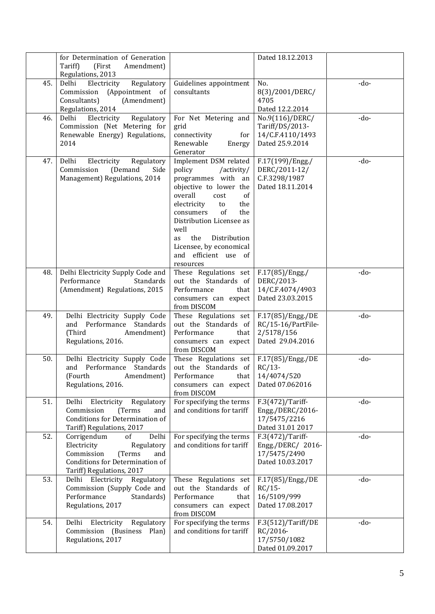|     | for Determination of Generation<br>Tariff)<br>(First<br>Amendment)                                                                                                                                          |                                                                                                                                                                                                                                                                                                               | Dated 18.12.2013                                                             |        |
|-----|-------------------------------------------------------------------------------------------------------------------------------------------------------------------------------------------------------------|---------------------------------------------------------------------------------------------------------------------------------------------------------------------------------------------------------------------------------------------------------------------------------------------------------------|------------------------------------------------------------------------------|--------|
|     | Regulations, 2013                                                                                                                                                                                           |                                                                                                                                                                                                                                                                                                               |                                                                              |        |
| 45. | Delhi<br>Electricity<br>Regulatory<br>(Appointment of<br>Commission<br>Consultants)<br>(Amendment)<br>Regulations, 2014                                                                                     | Guidelines appointment<br>consultants                                                                                                                                                                                                                                                                         | No.<br>8(3)/2001/DERC/<br>4705<br>Dated 12.2.2014                            | -do-   |
| 46. | Delhi<br>Electricity<br>Regulatory<br>Commission (Net Metering for<br>Renewable Energy) Regulations,<br>2014                                                                                                | For Net Metering and<br>grid<br>connectivity<br>for<br>Renewable<br>Energy<br>Generator                                                                                                                                                                                                                       | No.9(116)/DERC/<br>Tariff/DS/2013-<br>14/C.F.4110/1493<br>Dated 25.9.2014    | -do-   |
| 47. | Delhi<br>Electricity<br>Regulatory<br>Commission<br>(Demand<br>Side<br>Management) Regulations, 2014                                                                                                        | Implement DSM related<br>policy<br>/activity/<br>programmes with an<br>objective to lower the<br>overall<br>of<br>cost<br>electricity<br>the<br>to<br>of<br>the<br>consumers<br>Distribution Licensee as<br>well<br>the<br>Distribution<br>as<br>Licensee, by economical<br>and efficient use of<br>resources | F.17(199)/Engg./<br>DERC/2011-12/<br>C.F.3298/1987<br>Dated 18.11.2014       | -do-   |
| 48. | Delhi Electricity Supply Code and<br>Performance<br>Standards<br>(Amendment) Regulations, 2015                                                                                                              | These Regulations set<br>out the Standards of<br>Performance<br>that<br>consumers can expect<br>from DISCOM                                                                                                                                                                                                   | F.17(85)/Engg./<br>DERC/2013-<br>14/C.F.4074/4903<br>Dated 23.03.2015        | -do-   |
| 49. | Delhi Electricity Supply Code<br>and Performance Standards<br>(Third<br>Amendment)<br>Regulations, 2016.                                                                                                    | These Regulations set<br>out the Standards of<br>Performance<br>that<br>consumers can expect<br>from DISCOM                                                                                                                                                                                                   | F.17(85)/Engg./DE<br>RC/15-16/PartFile-<br>2/5178/156<br>Dated 29.04.2016    | -do-   |
| 50. | Delhi Electricity Supply Code<br>and Performance Standards<br>(Fourth) <b>Santa Contract Contract Contract Contract Contract Contract Contract Contract Contract Co</b><br>Amendment)<br>Regulations, 2016. | These Regulations set<br>out the Standards of<br>Performance<br>that  <br>consumers can expect<br>from DISCOM                                                                                                                                                                                                 | F.17(85)/Engg./DE<br>$RC/13-$<br>14/4074/520<br>Dated 07.062016              | -do-   |
| 51. | Electricity Regulatory<br>Delhi<br>Commission<br>(Terms)<br>and<br><b>Conditions for Determination of</b><br>Tariff) Regulations, 2017                                                                      | For specifying the terms<br>and conditions for tariff                                                                                                                                                                                                                                                         | $F.3(472)/T$ ariff-<br>Engg./DERC/2016-<br>17/5475/2216<br>Dated 31.01 2017  | -do-   |
| 52. | Corrigendum<br>Delhi<br>οf<br>Electricity<br>Regulatory<br>Commission<br>(Terms<br>and<br>Conditions for Determination of<br>Tariff) Regulations, 2017                                                      | For specifying the terms<br>and conditions for tariff                                                                                                                                                                                                                                                         | $F.3(472)/T$ ariff-<br>Engg./DERC/ 2016-<br>17/5475/2490<br>Dated 10.03.2017 | $-do-$ |
| 53. | Delhi Electricity Regulatory<br>Commission (Supply Code and<br>Performance<br>Standards)<br>Regulations, 2017                                                                                               | These Regulations set<br>out the Standards of<br>Performance<br>that<br>consumers can expect<br>from DISCOM                                                                                                                                                                                                   | F.17(85)/Engg./DE<br>$RC/15-$<br>16/5109/999<br>Dated 17.08.2017             | -do-   |
| 54. | Delhi Electricity Regulatory<br>Commission (Business Plan)<br>Regulations, 2017                                                                                                                             | For specifying the terms<br>and conditions for tariff                                                                                                                                                                                                                                                         | F.3(512)/Tariff/DE<br>RC/2016-<br>17/5750/1082<br>Dated 01.09.2017           | -do-   |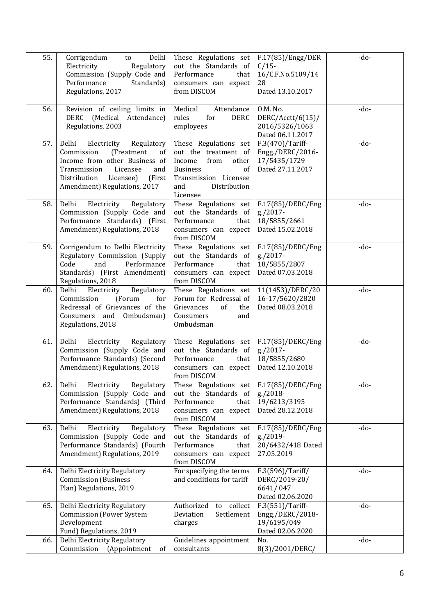| 55. | Corrigendum<br>Delhi<br>to<br>Electricity<br>Regulatory<br>Commission (Supply Code and<br>Performance<br>Standards)<br>Regulations, 2017                                                                        | These Regulations set<br>out the Standards of<br>Performance<br>that<br>consumers can expect<br>from DISCOM                                                   | F.17(85)/Engg/DER<br>$C/15$ -<br>16/C.F.No.5109/14<br>28<br>Dated 13.10.2017 | -do-   |
|-----|-----------------------------------------------------------------------------------------------------------------------------------------------------------------------------------------------------------------|---------------------------------------------------------------------------------------------------------------------------------------------------------------|------------------------------------------------------------------------------|--------|
| 56. | Revision of ceiling limits in<br>(Medical Attendance)<br>DERC<br>Regulations, 2003                                                                                                                              | Medical<br>Attendance<br>rules<br>for<br><b>DERC</b><br>employees                                                                                             | 0.M. No.<br>DERC/Acctt/6(15)/<br>2016/5326/1063<br>Dated 06.11.2017          | $-do-$ |
| 57. | Delhi<br>Electricity<br>Regulatory<br>Commission<br>(Treatment<br>οf<br>Income from other Business of<br>Transmission<br>Licensee<br>and<br>Distribution<br>Licensee)<br>(First<br>Amendment) Regulations, 2017 | These Regulations set<br>out the treatment of<br>Income<br>from<br>other<br><b>Business</b><br>of<br>Transmission Licensee<br>Distribution<br>and<br>Licensee | F.3(470)/Tariff-<br>Engg./DERC/2016-<br>17/5435/1729<br>Dated 27.11.2017     | -do-   |
| 58. | Delhi<br>Electricity<br>Regulatory<br>Commission (Supply Code and<br>Performance Standards) (First<br>Amendment) Regulations, 2018                                                                              | These Regulations set<br>out the Standards of<br>Performance<br>that<br>consumers can expect<br>from DISCOM                                                   | F.17(85)/DERC/Eng<br>g./2017-<br>18/5855/2661<br>Dated 15.02.2018            | $-do-$ |
| 59. | Corrigendum to Delhi Electricity<br>Regulatory Commission (Supply<br>Code<br>Performance<br>and<br>Standards) (First Amendment)<br>Regulations, 2018                                                            | These Regulations set<br>out the Standards of<br>Performance<br>that<br>consumers can expect<br>from DISCOM                                                   | F.17(85)/DERC/Eng<br>g./2017-<br>18/5855/2807<br>Dated 07.03.2018            | -do-   |
| 60. | Delhi<br>Electricity<br>Regulatory<br>Commission<br>(Forum<br>for<br>Redressal of Grievances of the<br>Consumers and Ombudsman)<br>Regulations, 2018                                                            | These Regulations set<br>Forum for Redressal of<br>Grievances<br>of<br>the<br>Consumers<br>and<br>Ombudsman                                                   | 11(1453)/DERC/20<br>16-17/5620/2820<br>Dated 08.03.2018                      | -do-   |
| 61. | Delhi<br>Regulatory<br>Electricity<br>Commission (Supply Code and<br>Performance Standards) (Second<br>Amendment) Regulations, 2018                                                                             | These Regulations set<br>out the Standards of<br>Performance<br>that<br>consumers can expect<br>from DISCOM                                                   | F.17(85)/DERC/Eng<br>g./2017-<br>18/5855/2680<br>Dated 12.10.2018            | -do-   |
| 62. | Delhi<br>Electricity<br>Regulatory<br>Commission (Supply Code and<br>Performance Standards) (Third<br>Amendment) Regulations, 2018                                                                              | These Regulations set<br>out the Standards of<br>Performance<br>that<br>consumers can expect<br>from DISCOM                                                   | F.17(85)/DERC/Eng<br>g./2018-<br>19/6213/3195<br>Dated 28.12.2018            | $-do-$ |
| 63. | Delhi<br>Electricity<br>Regulatory<br>Commission (Supply Code and<br>Performance Standards) (Fourth<br>Amendment) Regulations, 2019                                                                             | These Regulations set<br>out the Standards of<br>Performance<br>that<br>consumers can expect<br>from DISCOM                                                   | F.17(85)/DERC/Eng<br>g./2019-<br>20/6432/418 Dated<br>27.05.2019             | -do-   |
| 64. | Delhi Electricity Regulatory<br><b>Commission</b> (Business<br>Plan) Regulations, 2019                                                                                                                          | For specifying the terms<br>and conditions for tariff                                                                                                         | F.3(596)/Tariff/<br>DERC/2019-20/<br>6641/047<br>Dated 02.06.2020            | -do-   |
| 65. | Delhi Electricity Regulatory<br><b>Commission (Power System</b><br>Development<br>Fund) Regulations, 2019                                                                                                       | to collect<br>Authorized<br>Settlement<br>Deviation<br>charges                                                                                                | F.3(551)/Tariff-<br>Engg./DERC/2018-<br>19/6195/049<br>Dated 02.06.2020      | $-do-$ |
| 66. | Delhi Electricity Regulatory<br>Commission<br>(Appointment<br>of                                                                                                                                                | Guidelines appointment<br>consultants                                                                                                                         | No.<br>8(3)/2001/DERC/                                                       | $-do-$ |